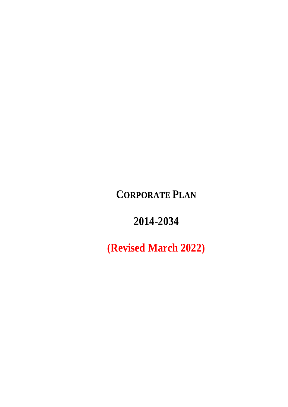**CORPORATE PLAN**

**2014-2034**

**(Revised March 2022)**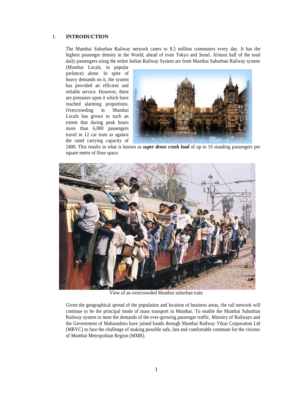## 1. **INTRODUCTION**

The Mumbai Suburban Railway network caters to 8.5 million commuters every day. It has the highest passenger density in the World, ahead of even Tokyo and Seoul. Almost half of the total daily passengers using the entire Indian Railway System are from Mumbai Suburban Railway system

(Mumbai Locals, in popular parlance) alone. In spite of heavy demands on it, the system has provided an efficient and reliable service. However, there are pressures upon it which have reached alarming proportions. Overcrowding in Mumbai Locals has grown to such an extent that during peak hours more than 6,000 passengers travel in 12 car train as against the rated carrying capacity of



2400. This results in what is known as *super dense crush load* of up to 16 standing passengers per square metre of floor space.



View of an overcrowded Mumbai suburban train

Given the geographical spread of the population and location of business areas, the rail network will continue to be the principal mode of mass transport in Mumbai. To enable the Mumbai Suburban Railway system to meet the demands of the ever-growing passenger traffic, Ministry of Railways and the Government of Maharashtra have joined hands through Mumbai Railway Vikas Corporation Ltd (MRVC) to face the challenge of making possible safe, fast and comfortable commute for the citizens of Mumbai Metropolitan Region (MMR).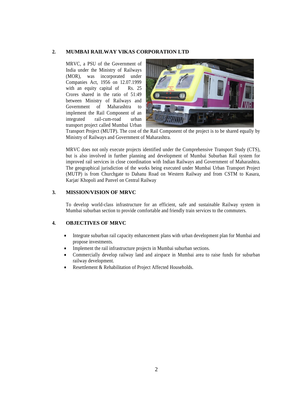#### **2. MUMBAI RAILWAY VIKAS CORPORATION LTD**

MRVC, a PSU of the Government of India under the Ministry of Railways (MOR), was incorporated under Companies Act, 1956 on 12.07.1999 with an equity capital of Rs. 25 Crores shared in the ratio of 51:49 between Ministry of Railways and Government of Maharashtra to implement the Rail Component of an integrated rail-cum-road urban transport project called Mumbai Urban



Transport Project (MUTP). The cost of the Rail Component of the project is to be shared equally by Ministry of Railways and Government of Maharashtra.

MRVC does not only execute projects identified under the Comprehensive Transport Study (CTS), but is also involved in further planning and development of Mumbai Suburban Rail system for improved rail services in close coordination with Indian Railways and Government of Maharashtra. The geographical jurisdiction of the works being executed under Mumbai Urban Transport Project (MUTP) is from Churchgate to Dahanu Road on Western Railway and from CSTM to Kasara, Karjat/ Khopoli and Panvel on Central Railway

## **3. MISSION/VISION OF MRVC**

To develop world-class infrastructure for an efficient, safe and sustainable Railway system in Mumbai suburban section to provide comfortable and friendly train services to the commuters.

## **4. OBJECTIVES OF MRVC**

- Integrate suburban rail capacity enhancement plans with urban development plan for Mumbai and propose investments.
- Implement the rail infrastructure projects in Mumbai suburban sections.
- Commercially develop railway land and airspace in Mumbai area to raise funds for suburban railway development.
- Resettlement & Rehabilitation of Project Affected Households.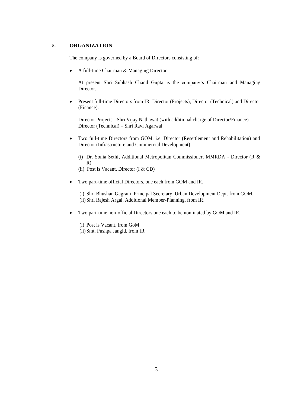# **5. ORGANIZATION**

The company is governed by a Board of Directors consisting of:

A full-time Chairman & Managing Director

At present Shri Subhash Chand Gupta is the company's Chairman and Managing Director.

 Present full-time Directors from IR, Director (Projects), Director (Technical) and Director (Finance).

Director Projects - Shri Vijay Nathawat (with additional charge of Director/Finance) Director (Technical) – Shri Ravi Agarwal

 Two full-time Directors from GOM, i.e. Director (Resettlement and Rehabilitation) and Director (Infrastructure and Commercial Development).

(i) Dr. Sonia Sethi, Additional Metropolitan Commissioner, MMRDA - Director (R & R)

- (ii) Post is Vacant, Director (I & CD)
- Two part-time official Directors, one each from GOM and IR.

(i) Shri Bhushan Gagrani, Principal Secretary, Urban Development Dept. from GOM. (ii) Shri Rajesh Argal, Additional Member-Planning, from IR.

- Two part-time non-official Directors one each to be nominated by GOM and IR.
	- (i) Post is Vacant, from GoM (ii) Smt. Pushpa Jangid, from IR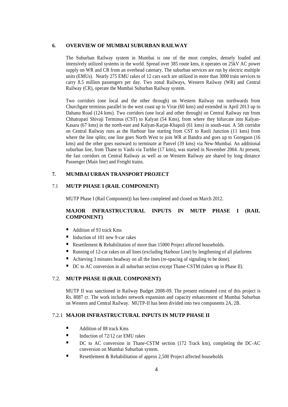## **6. OVERVIEW OF MUMBAI SUBURBAN RAILWAY**

The Suburban Railway system in Mumbai is one of the most complex, densely loaded and intensively utilized systems in the world. Spread over 385 route kms, it operates on 25kV AC power supply on WR and CR from an overhead catenary. The suburban services are run by electric multiple units (EMUs). Nearly 275 EMU rakes of 12 cars each are utilized in more than 3000 train services to carry 8.5 million passengers per day. Two zonal Railways, [Western Railway](http://www.westernrailwayindia.com/) (WR) and [Central](http://www.centralrailwayonline.com/)  [Railway](http://www.centralrailwayonline.com/) (CR), operate the Mumbai Suburban Railway system.

Two corridors (one local and the other through) on Western Railway run northwards from Churchgate terminus parallel to the west coast up to Virar (60 kms) and extended in April 2013 up to Dahanu Road (124 kms). Two corridors (one local and other through) on Central Railway run from Chhatrapati Shivaji Terminus (CST) to Kalyan (54 Kms), from where they bifurcate into Kalyan-Kasara (67 kms) in the north-east and Kalyan-Karjat-Khapoli (61 kms) in south-east. A 5th corridor on Central Railway runs as the Harbour line starting from CST to Raoli Junction (11 kms) from where the line splits; one line goes North West to join WR at Bandra and goes up to Goregaon (16 kms) and the other goes eastward to terminate at Panvel (39 kms) via New-Mumbai. An additional suburban line, from Thane to Vashi via Turbhe (17 kms), was started in November 2004. At present, the fast corridors on Central Railway as well as on Western Railway are shared by long distance Passenger (Main line) and Freight trains.

## **7. MUMBAI URBAN TRANSPORT PROJECT**

## 7.1 **MUTP PHASE I (RAIL COMPONENT)**

MUTP Phase I (Rail Component)) has been completed and closed on March 2012.

# **MAJOR INFRASTRUCTURAL INPUTS IN MUTP PHASE I (RAIL COMPONENT)**

- Addition of 93 track Kms
- Induction of 101 new 9-car rakes
- Resettlement & Rehabilitation of more than 15000 Project affected households.
- Running of 12-car rakes on all lines (excluding Harbour Line) by lengthening of all platforms
- Achieving 3 minutes headway on all the lines (re-spacing of signaling to be done).
- DC to AC conversion in all suburban section except Thane-CSTM (taken up in Phase II).

## 7.2. **MUTP PHASE II (RAIL COMPONENT)**

MUTP II was sanctioned in Railway Budget 2008-09. The present estimated cost of this project is Rs. 8087 cr. The work includes network expansion and capacity enhancement of Mumbai Suburban on Western and Central Railway. MUTP-II has been divided into two components 2A, 2B.

# 7.2.1 **MAJOR INFRASTRUCTURAL INPUTS IN MUTP PHASE II**

- Addition of 88 track Kms
- Induction of  $72/12$  car EMU rakes
- DC to AC conversion in Thane-CSTM section (172 Track km), completing the DC-AC conversion on Mumbai Suburban system.
- Resettlement & Rehabilitation of approx 2,500 Project affected households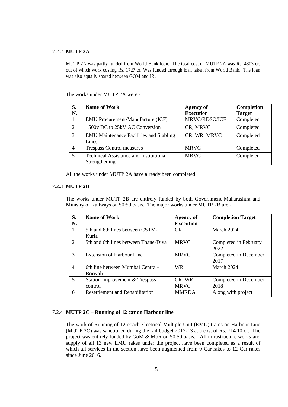## 7.2.2 **MUTP 2A**

MUTP 2A was partly funded from World Bank loan. The total cost of MUTP 2A was Rs. 4803 cr. out of which work costing Rs. 1727 cr. Was funded through loan taken from World Bank. The loan was also equally shared between GOM and IR.

The works under MUTP 2A were -

| S.<br>N.                    | <b>Name of Work</b>                                            | <b>Agency of</b><br><b>Execution</b> | Completion<br><b>Target</b> |
|-----------------------------|----------------------------------------------------------------|--------------------------------------|-----------------------------|
|                             | <b>EMU Procurement/Manufacture (ICF)</b>                       | MRVC/RDSO/ICF                        | Completed                   |
| $\mathcal{D}_{\mathcal{L}}$ | 1500y DC to 25kV AC Conversion                                 | CR, MRVC                             | Completed                   |
| 3                           | <b>EMU Maintenance Facilities and Stabling</b><br>Lines        | CR, WR, MRVC                         | Completed                   |
| 4                           | <b>Trespass Control measures</b>                               | <b>MRVC</b>                          | Completed                   |
| 5                           | <b>Technical Assistance and Institutional</b><br>Strengthening | <b>MRVC</b>                          | Completed                   |

All the works under MUTP 2A have already been completed.

#### 7.2.3 **MUTP 2B**

The works under MUTP 2B are entirely funded by both Government Maharashtra and Ministry of Railways on 50:50 basis. The major works under MUTP 2B are -

| S.<br>N.       | Name of Work                                        | <b>Agency of</b><br><b>Execution</b> | <b>Completion Target</b>      |
|----------------|-----------------------------------------------------|--------------------------------------|-------------------------------|
| $\mathbf{1}$   | 5th and 6th lines between CSTM-<br>Kurla            | CR.                                  | March 2024                    |
| 2              | 5th and 6th lines between Thane-Diva                | <b>MRVC</b>                          | Completed in February<br>2022 |
| 3              | <b>Extension of Harbour Line</b>                    | <b>MRVC</b>                          | Completed in December<br>2017 |
| $\overline{4}$ | 6th line between Mumbai Central-<br><b>Borivali</b> | WR.                                  | March 2024                    |
| 5              | Station Improvement & Trespass<br>control           | CR, WR,<br><b>MRVC</b>               | Completed in December<br>2018 |
| 6              | <b>Resettlement and Rehabilitation</b>              | <b>MMRDA</b>                         | Along with project            |

### 7.2.4 **MUTP 2C – Running of 12 car on Harbour line**

The work of Running of 12-coach Electrical Multiple Unit (EMU) trains on Harbour Line (MUTP 2C) was sanctioned during the rail budget 2012-13 at a cost of Rs. 714.10 cr. The project was entirely funded by GoM & MoR on 50:50 basis. All infrastructure works and supply of all 13 new EMU rakes under the project have been completed as a result of which all services in the section have been augmented from 9 Car rakes to 12 Car rakes since June 2016.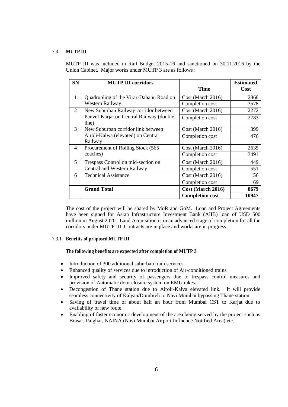# 7.3 **MUTP III**

MUTP III was included in Rail Budget 2015-16 and sanctioned on 30.11.2016 by the Union Cabinet. Major works under MUTP 3 are as follows :

| <b>SN</b>      | <b>MUTP III corridors</b>                         | <b>Time</b>            | <b>Estimated</b><br>Cost |
|----------------|---------------------------------------------------|------------------------|--------------------------|
| $\mathbf{1}$   | Quadrupling of the Virar-Dahanu Road on           | Cost (March 2016)      | 2868                     |
|                | Western Railway                                   | Completion cost        | 3578                     |
| 2              | New Suburban Railway corridor between             | $Cost$ (March 2016)    | 2272                     |
|                | Panvel-Karjat on Central Railway (double<br>line) | Completion cost        | 2783                     |
| 3              | New Suburban corridor link between                | $Cost$ (March 2016)    | 399                      |
|                | Airoli-Kalwa (elevated) on Central                | Completion cost        | 476                      |
|                | Railway                                           |                        |                          |
| $\overline{4}$ | Procurement of Rolling Stock (565)                | $Cost$ (March 2016)    | 2635                     |
|                | coaches)                                          | Completion cost        | 3491                     |
| 5              | Trespass Control on mid-section on                | Cost (March 2016)      | 449                      |
|                | Central and Western Railway                       | Completion cost        | 551                      |
| 6              | <b>Technical Assistance</b>                       | Cost (March 2016)      | 56                       |
|                |                                                   | Completion cost        | 69                       |
|                | <b>Grand Total</b>                                | Cost (March 2016)      | 8679                     |
|                |                                                   | <b>Completion cost</b> | 10947                    |

The cost of the project will be shared by MoR and GoM. Loan and Project Agreements have been signed for Asian Infrastructure Investment Bank (AIIB) loan of USD 500 million in August 2020. Land Acquisition is in an advanced stage of completion for all the corridors under MUTP III. Contracts are in place and works are in progress.

## 7.3.1 **Benefits of proposed MUTP III**

#### **The following benefits are expected after completion of MUTP 3**

- Introduction of 300 additional suburban train services.
- Enhanced quality of services due to introduction of Air-conditioned trains
- Improved safety and security of passengers due to trespass control measures and provision of Automatic door closure system on EMU rakes.
- Decongestion of Thane station due to Airoli-Kalva elevated link. It will provide seamless connectivity of Kalyan/Dombivli to Navi Mumbai bypassing Thane station.
- Saving of travel time of about half an hour from Mumbai CST to Karjat due to availability of new route.
- Enabling of faster economic development of the area being served by the project such as Boisar, Palghar, NAINA (Navi Mumbai Airport Influence Notified Area) etc.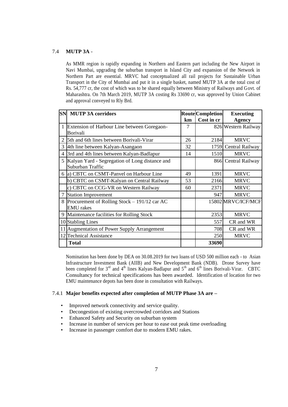## 7.4 **MUTP 3A** -

As MMR region is rapidly expanding in Northern and Eastern part including the New Airport in Navi Mumbai, upgrading the suburban transport in Island City and expansion of the Network in Northern Part are essential. MRVC had conceptualized all rail projects for Sustainable Urban Transport in the City of Mumbai and put it in a single basket, named MUTP 3A at the total cost of Rs. 54,777 cr, the cost of which was to be shared equally between Ministry of Railways and Govt. of Maharashtra. On 7th March 2019, MUTP 3A costing Rs 33690 cr, was approved by Union Cabinet and approval conveyed to Rly Brd.

|   | <b>SN MUTP 3A corridors</b>                    |    | <b>Route Completion</b> | <b>Executing</b>     |
|---|------------------------------------------------|----|-------------------------|----------------------|
|   |                                                | km | Cost in cr              | <b>Agency</b>        |
|   | 1 Extension of Harbour Line between Goregaon-  | 7  |                         | 826 Western Railway  |
|   | Borivali                                       |    |                         |                      |
|   | 5th and 6th lines between Borivali-Virar       | 26 | 2184                    | <b>MRVC</b>          |
| 3 | 4th line between Kalyan-Asangaon               | 32 |                         | 1759 Central Railway |
|   | 3rd and 4th lines between Kalyan-Badlapur      | 14 | 1510                    | <b>MRVC</b>          |
| 5 | Kalyan Yard - Segregation of Long distance and |    |                         | 866 Central Railway  |
|   | Suburban Traffic                               |    |                         |                      |
|   | 6 a) CBTC on CSMT-Panvel on Harbour Line       | 49 | 1391                    | <b>MRVC</b>          |
|   | b) CBTC on CSMT-Kalyan on Central Railway      | 53 | 2166                    | <b>MRVC</b>          |
|   | c) CBTC on CCG-VR on Western Railway           | 60 | 2371                    | <b>MRVC</b>          |
|   | <b>Station Improvement</b>                     |    | 947                     | <b>MRVC</b>          |
| 8 | Procurement of Rolling Stock – 191/12 car AC   |    |                         | 15802 MRVC/ICF/MCF   |
|   | <b>EMU</b> rakes                               |    |                         |                      |
| 9 | Maintenance facilities for Rolling Stock       |    | 2353                    | <b>MRVC</b>          |
|   | 10 Stabling Lines                              |    | 557                     | CR and WR            |
|   | 11 Augmentation of Power Supply Arrangement    |    | 708                     | CR and WR            |
|   | 12 Technical Assistance                        |    | 250                     | <b>MRVC</b>          |
|   | <b>Total</b>                                   |    | 33690                   |                      |

Nomination has been done by DEA on 30.08.2019 for two loans of USD 500 million each - to Asian Infrastructure Investment Bank (AIIB) and New Development Bank (NDB). Drone Survey have been completed for  $3^{rd}$  and  $4^{th}$  lines Kalyan-Badlapur and  $5^{th}$  and  $6^{th}$  lines Borivali-Virar. CBTC Consultancy for technical specifications has been awarded. Identification of location for two EMU maintenance depots has been done in consultation with Railways.

## 7.4.1 **Major benefits expected after completion of MUTP Phase 3A are –**

- Improved network connectivity and service quality.
- Decongestion of existing overcrowded corridors and Stations
- Enhanced Safety and Security on suburban system
- Increase in number of services per hour to ease out peak time overloading
- Increase in passenger comfort due to modern EMU rakes.